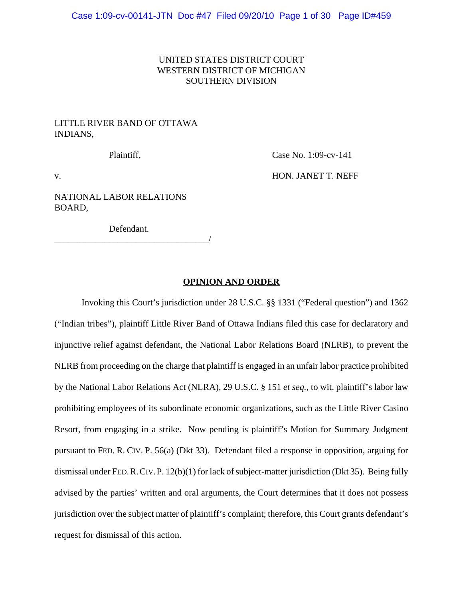# UNITED STATES DISTRICT COURT WESTERN DISTRICT OF MICHIGAN SOUTHERN DIVISION

# LITTLE RIVER BAND OF OTTAWA INDIANS,

Plaintiff, Case No. 1:09-cv-141

v. BON. JANET T. NEFF

NATIONAL LABOR RELATIONS BOARD,

Defendant.

\_\_\_\_\_\_\_\_\_\_\_\_\_\_\_\_\_\_\_\_\_\_\_\_\_\_\_\_\_\_\_\_\_\_/

# **OPINION AND ORDER**

Invoking this Court's jurisdiction under 28 U.S.C. §§ 1331 ("Federal question") and 1362 ("Indian tribes"), plaintiff Little River Band of Ottawa Indians filed this case for declaratory and injunctive relief against defendant, the National Labor Relations Board (NLRB), to prevent the NLRB from proceeding on the charge that plaintiff is engaged in an unfair labor practice prohibited by the National Labor Relations Act (NLRA), 29 U.S.C. § 151 *et seq.*, to wit, plaintiff's labor law prohibiting employees of its subordinate economic organizations, such as the Little River Casino Resort, from engaging in a strike. Now pending is plaintiff's Motion for Summary Judgment pursuant to FED. R. CIV. P. 56(a) (Dkt 33). Defendant filed a response in opposition, arguing for dismissal under FED.R.CIV.P. 12(b)(1) for lack of subject-matter jurisdiction (Dkt 35). Being fully advised by the parties' written and oral arguments, the Court determines that it does not possess jurisdiction over the subject matter of plaintiff's complaint; therefore, this Court grants defendant's request for dismissal of this action.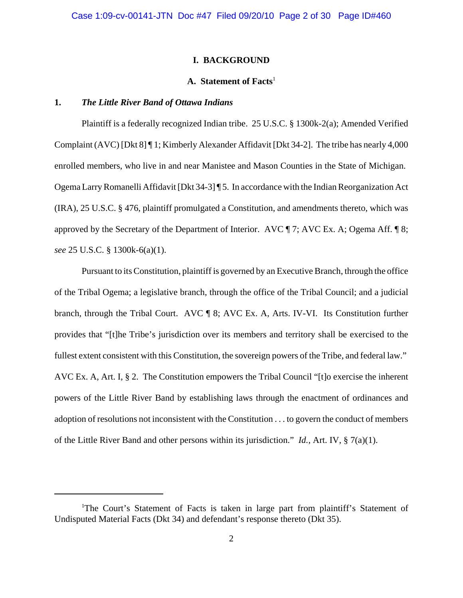# **I. BACKGROUND**

# **A. Statement of Facts**<sup>1</sup>

# **1.** *The Little River Band of Ottawa Indians*

Plaintiff is a federally recognized Indian tribe. 25 U.S.C. § 1300k-2(a); Amended Verified Complaint (AVC) [Dkt 8] ¶ 1; Kimberly Alexander Affidavit [Dkt 34-2]. The tribe has nearly 4,000 enrolled members, who live in and near Manistee and Mason Counties in the State of Michigan. Ogema Larry Romanelli Affidavit [Dkt 34-3] ¶ 5. In accordance with the Indian Reorganization Act (IRA), 25 U.S.C. § 476, plaintiff promulgated a Constitution, and amendments thereto, which was approved by the Secretary of the Department of Interior. AVC ¶ 7; AVC Ex. A; Ogema Aff. ¶ 8; *see* 25 U.S.C. § 1300k-6(a)(1).

Pursuant to its Constitution, plaintiff is governed by an Executive Branch, through the office of the Tribal Ogema; a legislative branch, through the office of the Tribal Council; and a judicial branch, through the Tribal Court. AVC ¶ 8; AVC Ex. A, Arts. IV-VI. Its Constitution further provides that "[t]he Tribe's jurisdiction over its members and territory shall be exercised to the fullest extent consistent with this Constitution, the sovereign powers of the Tribe, and federal law." AVC Ex. A, Art. I, § 2. The Constitution empowers the Tribal Council "[t]o exercise the inherent powers of the Little River Band by establishing laws through the enactment of ordinances and adoption of resolutions not inconsistent with the Constitution . . . to govern the conduct of members of the Little River Band and other persons within its jurisdiction." *Id.*, Art. IV, § 7(a)(1).

<sup>&</sup>lt;sup>1</sup>The Court's Statement of Facts is taken in large part from plaintiff's Statement of Undisputed Material Facts (Dkt 34) and defendant's response thereto (Dkt 35).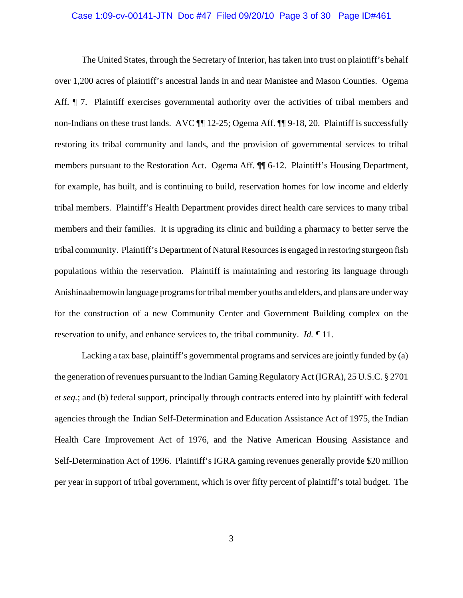# Case 1:09-cv-00141-JTN Doc #47 Filed 09/20/10 Page 3 of 30 Page ID#461

The United States, through the Secretary of Interior, has taken into trust on plaintiff's behalf over 1,200 acres of plaintiff's ancestral lands in and near Manistee and Mason Counties. Ogema Aff.  $\parallel$  7. Plaintiff exercises governmental authority over the activities of tribal members and non-Indians on these trust lands. AVC ¶¶ 12-25; Ogema Aff. ¶¶ 9-18, 20. Plaintiff is successfully restoring its tribal community and lands, and the provision of governmental services to tribal members pursuant to the Restoration Act. Ogema Aff. ¶¶ 6-12. Plaintiff's Housing Department, for example, has built, and is continuing to build, reservation homes for low income and elderly tribal members. Plaintiff's Health Department provides direct health care services to many tribal members and their families. It is upgrading its clinic and building a pharmacy to better serve the tribal community. Plaintiff's Department of Natural Resources is engaged in restoring sturgeon fish populations within the reservation. Plaintiff is maintaining and restoring its language through Anishinaabemowin language programs for tribal member youths and elders, and plans are under way for the construction of a new Community Center and Government Building complex on the reservation to unify, and enhance services to, the tribal community. *Id.* ¶ 11.

Lacking a tax base, plaintiff's governmental programs and services are jointly funded by (a) the generation of revenues pursuant to the Indian Gaming Regulatory Act (IGRA), 25 U.S.C. § 2701 *et seq.*; and (b) federal support, principally through contracts entered into by plaintiff with federal agencies through the Indian Self-Determination and Education Assistance Act of 1975, the Indian Health Care Improvement Act of 1976, and the Native American Housing Assistance and Self-Determination Act of 1996. Plaintiff's IGRA gaming revenues generally provide \$20 million per year in support of tribal government, which is over fifty percent of plaintiff's total budget. The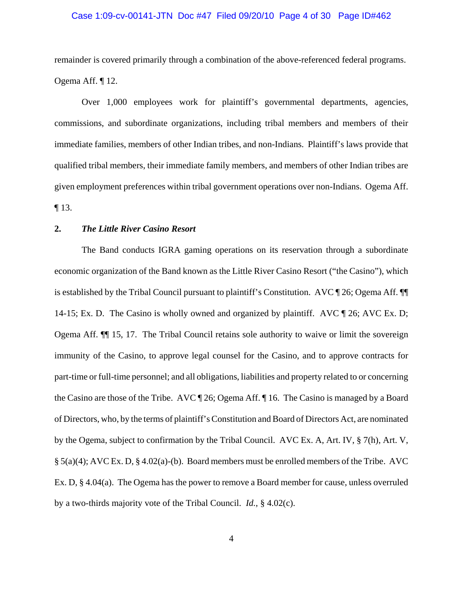#### Case 1:09-cv-00141-JTN Doc #47 Filed 09/20/10 Page 4 of 30 Page ID#462

remainder is covered primarily through a combination of the above-referenced federal programs. Ogema Aff. ¶ 12.

Over 1,000 employees work for plaintiff's governmental departments, agencies, commissions, and subordinate organizations, including tribal members and members of their immediate families, members of other Indian tribes, and non-Indians. Plaintiff's laws provide that qualified tribal members, their immediate family members, and members of other Indian tribes are given employment preferences within tribal government operations over non-Indians. Ogema Aff. ¶ 13.

# **2.** *The Little River Casino Resort*

The Band conducts IGRA gaming operations on its reservation through a subordinate economic organization of the Band known as the Little River Casino Resort ("the Casino"), which is established by the Tribal Council pursuant to plaintiff's Constitution. AVC ¶ 26; Ogema Aff. ¶¶ 14-15; Ex. D. The Casino is wholly owned and organized by plaintiff. AVC ¶ 26; AVC Ex. D; Ogema Aff. ¶¶ 15, 17. The Tribal Council retains sole authority to waive or limit the sovereign immunity of the Casino, to approve legal counsel for the Casino, and to approve contracts for part-time or full-time personnel; and all obligations, liabilities and property related to or concerning the Casino are those of the Tribe. AVC ¶ 26; Ogema Aff. ¶ 16. The Casino is managed by a Board of Directors, who, by the terms of plaintiff's Constitution and Board of Directors Act, are nominated by the Ogema, subject to confirmation by the Tribal Council. AVC Ex. A, Art. IV, § 7(h), Art. V, § 5(a)(4); AVC Ex. D, § 4.02(a)-(b). Board members must be enrolled members of the Tribe. AVC Ex. D, § 4.04(a). The Ogema has the power to remove a Board member for cause, unless overruled by a two-thirds majority vote of the Tribal Council. *Id.*, § 4.02(c).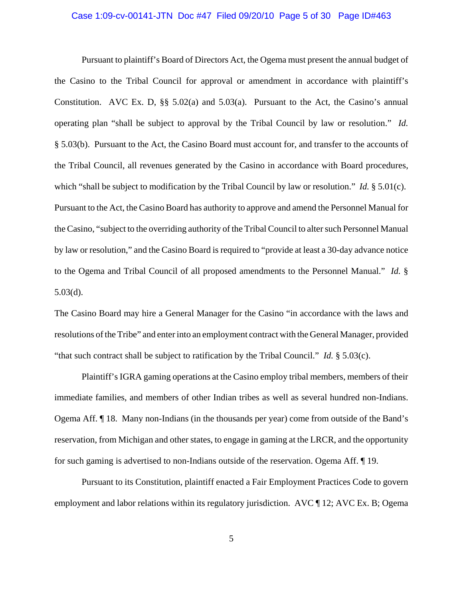#### Case 1:09-cv-00141-JTN Doc #47 Filed 09/20/10 Page 5 of 30 Page ID#463

Pursuant to plaintiff's Board of Directors Act, the Ogema must present the annual budget of the Casino to the Tribal Council for approval or amendment in accordance with plaintiff's Constitution. AVC Ex. D,  $\S$  5.02(a) and 5.03(a). Pursuant to the Act, the Casino's annual operating plan "shall be subject to approval by the Tribal Council by law or resolution." *Id.* § 5.03(b). Pursuant to the Act, the Casino Board must account for, and transfer to the accounts of the Tribal Council, all revenues generated by the Casino in accordance with Board procedures, which "shall be subject to modification by the Tribal Council by law or resolution." *Id.* § 5.01(c). Pursuant to the Act, the Casino Board has authority to approve and amend the Personnel Manual for the Casino, "subject to the overriding authority of the Tribal Council to alter such Personnel Manual by law or resolution," and the Casino Board is required to "provide at least a 30-day advance notice to the Ogema and Tribal Council of all proposed amendments to the Personnel Manual." *Id.* § 5.03(d).

The Casino Board may hire a General Manager for the Casino "in accordance with the laws and resolutions of the Tribe" and enter into an employment contract with the General Manager, provided "that such contract shall be subject to ratification by the Tribal Council." *Id.* § 5.03(c).

Plaintiff's IGRA gaming operations at the Casino employ tribal members, members of their immediate families, and members of other Indian tribes as well as several hundred non-Indians. Ogema Aff. ¶ 18. Many non-Indians (in the thousands per year) come from outside of the Band's reservation, from Michigan and other states, to engage in gaming at the LRCR, and the opportunity for such gaming is advertised to non-Indians outside of the reservation. Ogema Aff. ¶ 19.

Pursuant to its Constitution, plaintiff enacted a Fair Employment Practices Code to govern employment and labor relations within its regulatory jurisdiction. AVC  $\P$  12; AVC Ex. B; Ogema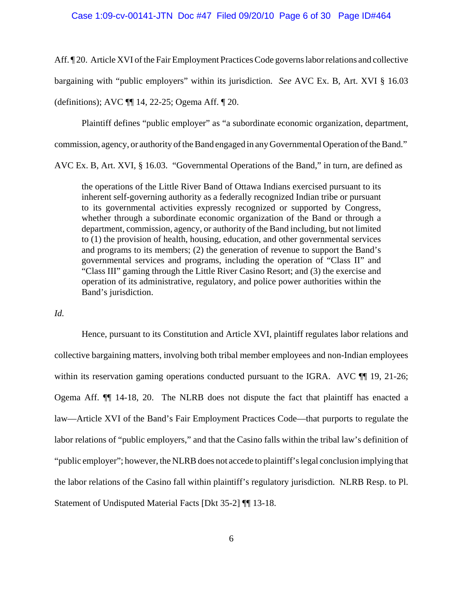Aff. ¶ 20. Article XVI of the Fair Employment Practices Code governs labor relations and collective bargaining with "public employers" within its jurisdiction. *See* AVC Ex. B, Art. XVI § 16.03 (definitions); AVC ¶¶ 14, 22-25; Ogema Aff. ¶ 20.

Plaintiff defines "public employer" as "a subordinate economic organization, department,

commission, agency, or authority of the Band engaged in any Governmental Operation of the Band."

AVC Ex. B, Art. XVI, § 16.03. "Governmental Operations of the Band," in turn, are defined as

the operations of the Little River Band of Ottawa Indians exercised pursuant to its inherent self-governing authority as a federally recognized Indian tribe or pursuant to its governmental activities expressly recognized or supported by Congress, whether through a subordinate economic organization of the Band or through a department, commission, agency, or authority of the Band including, but not limited to (1) the provision of health, housing, education, and other governmental services and programs to its members; (2) the generation of revenue to support the Band's governmental services and programs, including the operation of "Class II" and "Class III" gaming through the Little River Casino Resort; and (3) the exercise and operation of its administrative, regulatory, and police power authorities within the Band's jurisdiction.

*Id.*

Hence, pursuant to its Constitution and Article XVI, plaintiff regulates labor relations and collective bargaining matters, involving both tribal member employees and non-Indian employees within its reservation gaming operations conducted pursuant to the IGRA. AVC  $\P$  19, 21-26; Ogema Aff. ¶¶ 14-18, 20. The NLRB does not dispute the fact that plaintiff has enacted a law—Article XVI of the Band's Fair Employment Practices Code—that purports to regulate the labor relations of "public employers," and that the Casino falls within the tribal law's definition of "public employer"; however, the NLRB does not accede to plaintiff's legal conclusion implying that the labor relations of the Casino fall within plaintiff's regulatory jurisdiction. NLRB Resp. to Pl. Statement of Undisputed Material Facts [Dkt 35-2] ¶¶ 13-18.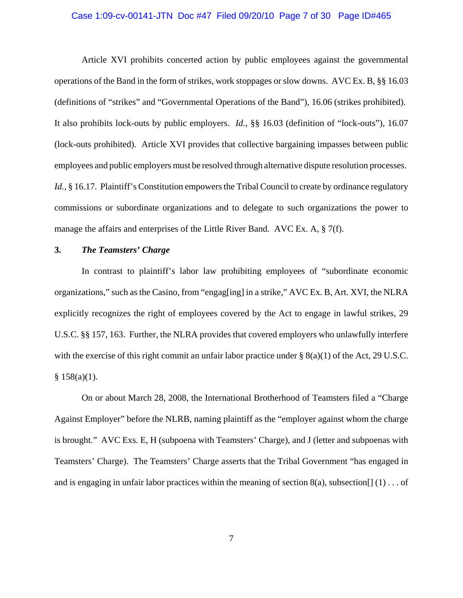#### Case 1:09-cv-00141-JTN Doc #47 Filed 09/20/10 Page 7 of 30 Page ID#465

Article XVI prohibits concerted action by public employees against the governmental operations of the Band in the form of strikes, work stoppages or slow downs. AVC Ex. B, §§ 16.03 (definitions of "strikes" and "Governmental Operations of the Band"), 16.06 (strikes prohibited). It also prohibits lock-outs by public employers. *Id.*, §§ 16.03 (definition of "lock-outs"), 16.07 (lock-outs prohibited). Article XVI provides that collective bargaining impasses between public employees and public employers must be resolved through alternative dispute resolution processes. *Id.*, § 16.17. Plaintiff's Constitution empowers the Tribal Council to create by ordinance regulatory commissions or subordinate organizations and to delegate to such organizations the power to manage the affairs and enterprises of the Little River Band. AVC Ex. A,  $\S$  7(f).

# **3.** *The Teamsters' Charge*

In contrast to plaintiff's labor law prohibiting employees of "subordinate economic organizations," such as the Casino, from "engag[ing] in a strike," AVC Ex. B, Art. XVI, the NLRA explicitly recognizes the right of employees covered by the Act to engage in lawful strikes, 29 U.S.C. §§ 157, 163. Further, the NLRA provides that covered employers who unlawfully interfere with the exercise of this right commit an unfair labor practice under § 8(a)(1) of the Act, 29 U.S.C.  $§ 158(a)(1).$ 

On or about March 28, 2008, the International Brotherhood of Teamsters filed a "Charge Against Employer" before the NLRB, naming plaintiff as the "employer against whom the charge is brought." AVC Exs. E, H (subpoena with Teamsters' Charge), and J (letter and subpoenas with Teamsters' Charge). The Teamsters' Charge asserts that the Tribal Government "has engaged in and is engaging in unfair labor practices within the meaning of section  $8(a)$ , subsection  $[1(1) \dots$  of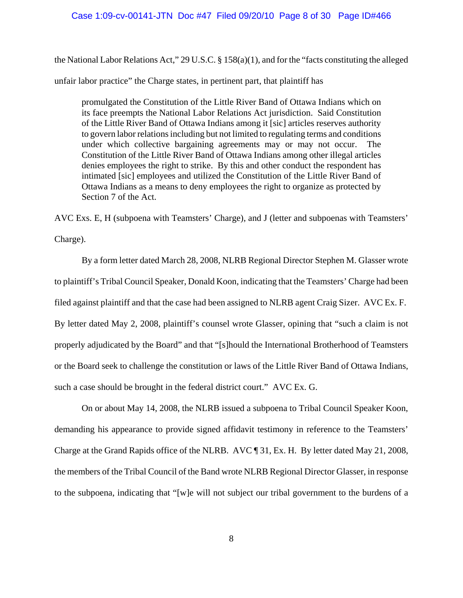## Case 1:09-cv-00141-JTN Doc #47 Filed 09/20/10 Page 8 of 30 Page ID#466

the National Labor Relations Act," 29 U.S.C. § 158(a)(1), and for the "facts constituting the alleged unfair labor practice" the Charge states, in pertinent part, that plaintiff has

promulgated the Constitution of the Little River Band of Ottawa Indians which on its face preempts the National Labor Relations Act jurisdiction. Said Constitution of the Little River Band of Ottawa Indians among it [sic] articles reserves authority to govern labor relations including but not limited to regulating terms and conditions under which collective bargaining agreements may or may not occur. The Constitution of the Little River Band of Ottawa Indians among other illegal articles denies employees the right to strike. By this and other conduct the respondent has intimated [sic] employees and utilized the Constitution of the Little River Band of Ottawa Indians as a means to deny employees the right to organize as protected by Section 7 of the Act.

AVC Exs. E, H (subpoena with Teamsters' Charge), and J (letter and subpoenas with Teamsters' Charge).

By a form letter dated March 28, 2008, NLRB Regional Director Stephen M. Glasser wrote to plaintiff's Tribal Council Speaker, Donald Koon, indicating that the Teamsters' Charge had been filed against plaintiff and that the case had been assigned to NLRB agent Craig Sizer. AVC Ex. F. By letter dated May 2, 2008, plaintiff's counsel wrote Glasser, opining that "such a claim is not properly adjudicated by the Board" and that "[s]hould the International Brotherhood of Teamsters or the Board seek to challenge the constitution or laws of the Little River Band of Ottawa Indians, such a case should be brought in the federal district court." AVC Ex. G.

On or about May 14, 2008, the NLRB issued a subpoena to Tribal Council Speaker Koon, demanding his appearance to provide signed affidavit testimony in reference to the Teamsters' Charge at the Grand Rapids office of the NLRB. AVC ¶ 31, Ex. H. By letter dated May 21, 2008, the members of the Tribal Council of the Band wrote NLRB Regional Director Glasser, in response to the subpoena, indicating that "[w]e will not subject our tribal government to the burdens of a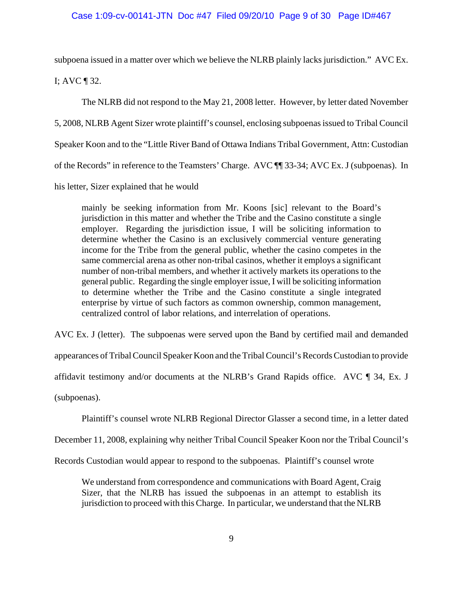subpoena issued in a matter over which we believe the NLRB plainly lacks jurisdiction." AVC Ex.

I; AVC ¶ 32.

The NLRB did not respond to the May 21, 2008 letter. However, by letter dated November 5, 2008, NLRB Agent Sizer wrote plaintiff's counsel, enclosing subpoenas issued to Tribal Council Speaker Koon and to the "Little River Band of Ottawa Indians Tribal Government, Attn: Custodian of the Records" in reference to the Teamsters' Charge. AVC ¶¶ 33-34; AVC Ex. J (subpoenas). In his letter, Sizer explained that he would

mainly be seeking information from Mr. Koons [sic] relevant to the Board's jurisdiction in this matter and whether the Tribe and the Casino constitute a single employer. Regarding the jurisdiction issue, I will be soliciting information to determine whether the Casino is an exclusively commercial venture generating income for the Tribe from the general public, whether the casino competes in the same commercial arena as other non-tribal casinos, whether it employs a significant number of non-tribal members, and whether it actively markets its operations to the general public. Regarding the single employer issue, I will be soliciting information to determine whether the Tribe and the Casino constitute a single integrated enterprise by virtue of such factors as common ownership, common management, centralized control of labor relations, and interrelation of operations.

AVC Ex. J (letter). The subpoenas were served upon the Band by certified mail and demanded appearances of Tribal Council Speaker Koon and the Tribal Council's Records Custodian to provide affidavit testimony and/or documents at the NLRB's Grand Rapids office. AVC ¶ 34, Ex. J (subpoenas).

Plaintiff's counsel wrote NLRB Regional Director Glasser a second time, in a letter dated

December 11, 2008, explaining why neither Tribal Council Speaker Koon nor the Tribal Council's

Records Custodian would appear to respond to the subpoenas. Plaintiff's counsel wrote

We understand from correspondence and communications with Board Agent, Craig Sizer, that the NLRB has issued the subpoenas in an attempt to establish its jurisdiction to proceed with this Charge. In particular, we understand that the NLRB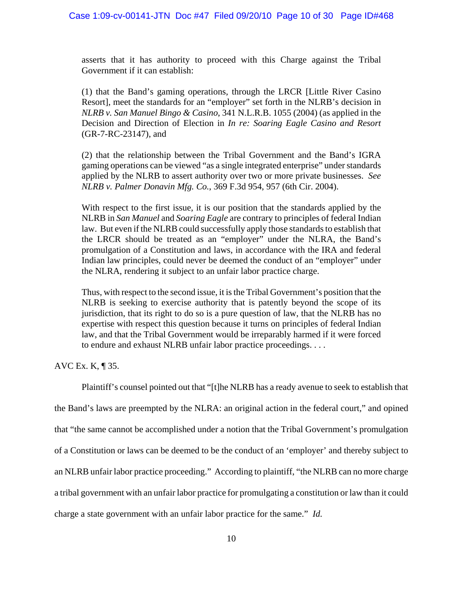asserts that it has authority to proceed with this Charge against the Tribal Government if it can establish:

(1) that the Band's gaming operations, through the LRCR [Little River Casino Resort], meet the standards for an "employer" set forth in the NLRB's decision in *NLRB v. San Manuel Bingo & Casino*, 341 N.L.R.B. 1055 (2004) (as applied in the Decision and Direction of Election in *In re: Soaring Eagle Casino and Resort* (GR-7-RC-23147), and

(2) that the relationship between the Tribal Government and the Band's IGRA gaming operations can be viewed "as a single integrated enterprise" under standards applied by the NLRB to assert authority over two or more private businesses. *See NLRB v. Palmer Donavin Mfg. Co.*, 369 F.3d 954, 957 (6th Cir. 2004).

With respect to the first issue, it is our position that the standards applied by the NLRB in *San Manuel* and *Soaring Eagle* are contrary to principles of federal Indian law. But even if the NLRB could successfully apply those standards to establish that the LRCR should be treated as an "employer" under the NLRA, the Band's promulgation of a Constitution and laws, in accordance with the IRA and federal Indian law principles, could never be deemed the conduct of an "employer" under the NLRA, rendering it subject to an unfair labor practice charge.

Thus, with respect to the second issue, it is the Tribal Government's position that the NLRB is seeking to exercise authority that is patently beyond the scope of its jurisdiction, that its right to do so is a pure question of law, that the NLRB has no expertise with respect this question because it turns on principles of federal Indian law, and that the Tribal Government would be irreparably harmed if it were forced to endure and exhaust NLRB unfair labor practice proceedings. . . .

AVC Ex. K, ¶ 35.

Plaintiff's counsel pointed out that "[t]he NLRB has a ready avenue to seek to establish that the Band's laws are preempted by the NLRA: an original action in the federal court," and opined that "the same cannot be accomplished under a notion that the Tribal Government's promulgation of a Constitution or laws can be deemed to be the conduct of an 'employer' and thereby subject to an NLRB unfair labor practice proceeding." According to plaintiff, "the NLRB can no more charge a tribal government with an unfair labor practice for promulgating a constitution or law than it could charge a state government with an unfair labor practice for the same." *Id.*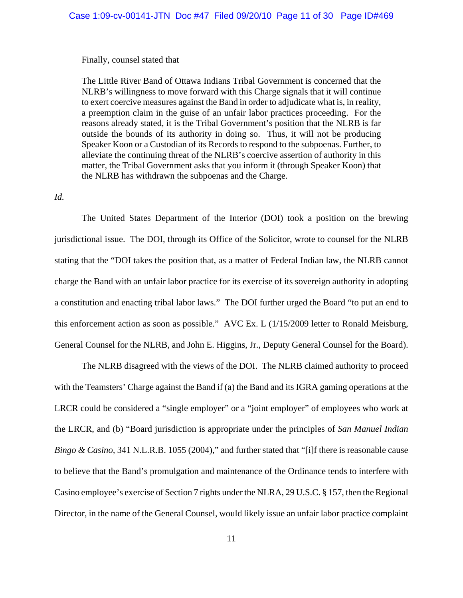Finally, counsel stated that

The Little River Band of Ottawa Indians Tribal Government is concerned that the NLRB's willingness to move forward with this Charge signals that it will continue to exert coercive measures against the Band in order to adjudicate what is, in reality, a preemption claim in the guise of an unfair labor practices proceeding. For the reasons already stated, it is the Tribal Government's position that the NLRB is far outside the bounds of its authority in doing so. Thus, it will not be producing Speaker Koon or a Custodian of its Records to respond to the subpoenas. Further, to alleviate the continuing threat of the NLRB's coercive assertion of authority in this matter, the Tribal Government asks that you inform it (through Speaker Koon) that the NLRB has withdrawn the subpoenas and the Charge.

# *Id.*

The United States Department of the Interior (DOI) took a position on the brewing jurisdictional issue. The DOI, through its Office of the Solicitor, wrote to counsel for the NLRB stating that the "DOI takes the position that, as a matter of Federal Indian law, the NLRB cannot charge the Band with an unfair labor practice for its exercise of its sovereign authority in adopting a constitution and enacting tribal labor laws." The DOI further urged the Board "to put an end to this enforcement action as soon as possible." AVC Ex. L (1/15/2009 letter to Ronald Meisburg, General Counsel for the NLRB, and John E. Higgins, Jr., Deputy General Counsel for the Board).

The NLRB disagreed with the views of the DOI. The NLRB claimed authority to proceed with the Teamsters' Charge against the Band if (a) the Band and its IGRA gaming operations at the LRCR could be considered a "single employer" or a "joint employer" of employees who work at the LRCR, and (b) "Board jurisdiction is appropriate under the principles of *San Manuel Indian Bingo & Casino,* 341 N.L.R.B. 1055 (2004)," and further stated that "[i]f there is reasonable cause to believe that the Band's promulgation and maintenance of the Ordinance tends to interfere with Casino employee's exercise of Section 7 rights under the NLRA, 29 U.S.C. § 157, then the Regional Director, in the name of the General Counsel, would likely issue an unfair labor practice complaint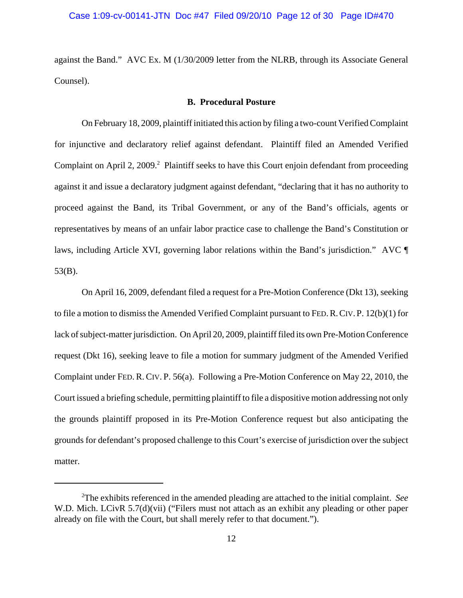against the Band." AVC Ex. M (1/30/2009 letter from the NLRB, through its Associate General Counsel).

### **B. Procedural Posture**

On February 18, 2009, plaintiff initiated this action by filing a two-count Verified Complaint for injunctive and declaratory relief against defendant. Plaintiff filed an Amended Verified Complaint on April 2, 2009.<sup>2</sup> Plaintiff seeks to have this Court enjoin defendant from proceeding against it and issue a declaratory judgment against defendant, "declaring that it has no authority to proceed against the Band, its Tribal Government, or any of the Band's officials, agents or representatives by means of an unfair labor practice case to challenge the Band's Constitution or laws, including Article XVI, governing labor relations within the Band's jurisdiction." AVC ¶ 53(B).

On April 16, 2009, defendant filed a request for a Pre-Motion Conference (Dkt 13), seeking to file a motion to dismiss the Amended Verified Complaint pursuant to FED.R.CIV. P. 12(b)(1) for lack of subject-matter jurisdiction. On April 20, 2009, plaintiff filed its own Pre-Motion Conference request (Dkt 16), seeking leave to file a motion for summary judgment of the Amended Verified Complaint under FED. R. CIV. P. 56(a). Following a Pre-Motion Conference on May 22, 2010, the Court issued a briefing schedule, permitting plaintiff to file a dispositive motion addressing not only the grounds plaintiff proposed in its Pre-Motion Conference request but also anticipating the grounds for defendant's proposed challenge to this Court's exercise of jurisdiction over the subject matter.

<sup>2</sup> The exhibits referenced in the amended pleading are attached to the initial complaint. *See* W.D. Mich. LCivR 5.7(d)(vii) ("Filers must not attach as an exhibit any pleading or other paper already on file with the Court, but shall merely refer to that document.").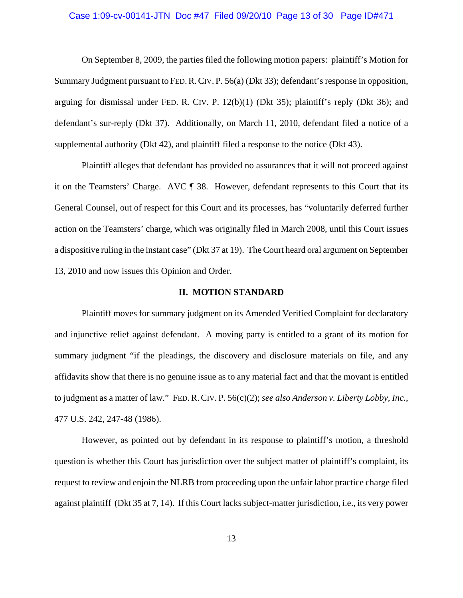#### Case 1:09-cv-00141-JTN Doc #47 Filed 09/20/10 Page 13 of 30 Page ID#471

On September 8, 2009, the parties filed the following motion papers: plaintiff's Motion for Summary Judgment pursuant to FED.R.CIV. P. 56(a) (Dkt 33); defendant's response in opposition, arguing for dismissal under FED. R. CIV. P.  $12(b)(1)$  (Dkt 35); plaintiff's reply (Dkt 36); and defendant's sur-reply (Dkt 37). Additionally, on March 11, 2010, defendant filed a notice of a supplemental authority (Dkt 42), and plaintiff filed a response to the notice (Dkt 43).

Plaintiff alleges that defendant has provided no assurances that it will not proceed against it on the Teamsters' Charge. AVC ¶ 38. However, defendant represents to this Court that its General Counsel, out of respect for this Court and its processes, has "voluntarily deferred further action on the Teamsters' charge, which was originally filed in March 2008, until this Court issues a dispositive ruling in the instant case" (Dkt 37 at 19). The Court heard oral argument on September 13, 2010 and now issues this Opinion and Order.

# **II. MOTION STANDARD**

Plaintiff moves for summary judgment on its Amended Verified Complaint for declaratory and injunctive relief against defendant. A moving party is entitled to a grant of its motion for summary judgment "if the pleadings, the discovery and disclosure materials on file, and any affidavits show that there is no genuine issue as to any material fact and that the movant is entitled to judgment as a matter of law." FED.R.CIV. P. 56(c)(2); *see also Anderson v. Liberty Lobby, Inc.*, 477 U.S. 242, 247-48 (1986).

However, as pointed out by defendant in its response to plaintiff's motion, a threshold question is whether this Court has jurisdiction over the subject matter of plaintiff's complaint, its request to review and enjoin the NLRB from proceeding upon the unfair labor practice charge filed against plaintiff (Dkt 35 at 7, 14). If this Court lacks subject-matter jurisdiction, i.e., its very power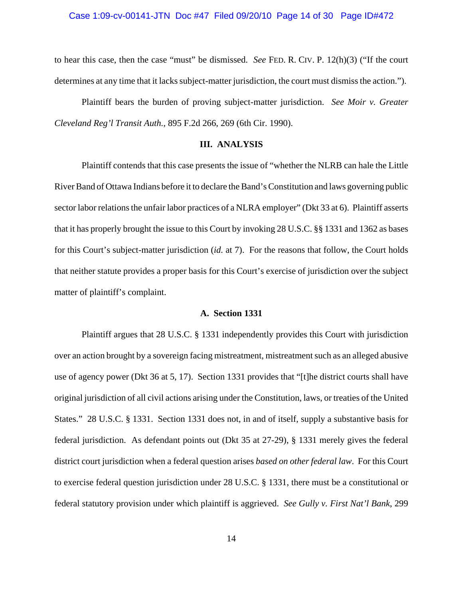# Case 1:09-cv-00141-JTN Doc #47 Filed 09/20/10 Page 14 of 30 Page ID#472

to hear this case, then the case "must" be dismissed. *See* FED. R. CIV. P. 12(h)(3) ("If the court determines at any time that it lacks subject-matter jurisdiction, the court must dismiss the action.").

Plaintiff bears the burden of proving subject-matter jurisdiction. *See Moir v. Greater Cleveland Reg'l Transit Auth.*, 895 F.2d 266, 269 (6th Cir. 1990).

#### **III. ANALYSIS**

Plaintiff contends that this case presents the issue of "whether the NLRB can hale the Little River Band of Ottawa Indians before it to declare the Band's Constitution and laws governing public sector labor relations the unfair labor practices of a NLRA employer" (Dkt 33 at 6). Plaintiff asserts that it has properly brought the issue to this Court by invoking 28 U.S.C. §§ 1331 and 1362 as bases for this Court's subject-matter jurisdiction (*id.* at 7). For the reasons that follow, the Court holds that neither statute provides a proper basis for this Court's exercise of jurisdiction over the subject matter of plaintiff's complaint.

#### **A. Section 1331**

Plaintiff argues that 28 U.S.C. § 1331 independently provides this Court with jurisdiction over an action brought by a sovereign facing mistreatment, mistreatment such as an alleged abusive use of agency power (Dkt 36 at 5, 17). Section 1331 provides that "[t]he district courts shall have original jurisdiction of all civil actions arising under the Constitution, laws, or treaties of the United States." 28 U.S.C. § 1331. Section 1331 does not, in and of itself, supply a substantive basis for federal jurisdiction. As defendant points out (Dkt 35 at 27-29), § 1331 merely gives the federal district court jurisdiction when a federal question arises *based on other federal law*. For this Court to exercise federal question jurisdiction under 28 U.S.C. § 1331, there must be a constitutional or federal statutory provision under which plaintiff is aggrieved. *See Gully v. First Nat'l Bank*, 299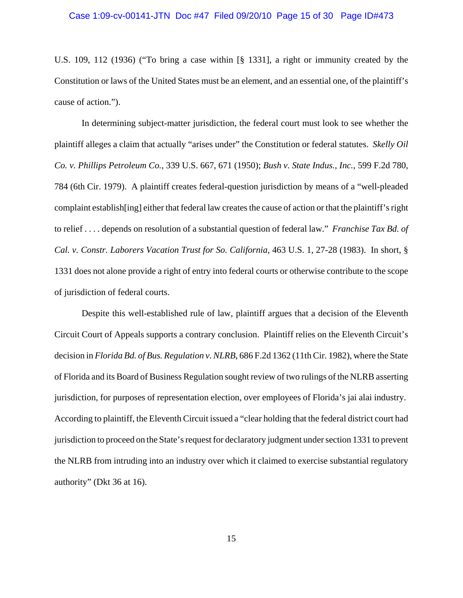U.S. 109, 112 (1936) ("To bring a case within [§ 1331], a right or immunity created by the Constitution or laws of the United States must be an element, and an essential one, of the plaintiff's cause of action.").

In determining subject-matter jurisdiction, the federal court must look to see whether the plaintiff alleges a claim that actually "arises under" the Constitution or federal statutes. *Skelly Oil Co. v. Phillips Petroleum Co.*, 339 U.S. 667, 671 (1950); *Bush v. State Indus., Inc.*, 599 F.2d 780, 784 (6th Cir. 1979). A plaintiff creates federal-question jurisdiction by means of a "well-pleaded complaint establish[ing] either that federal law creates the cause of action or that the plaintiff's right to relief . . . . depends on resolution of a substantial question of federal law." *Franchise Tax Bd. of Cal. v. Constr. Laborers Vacation Trust for So. California*, 463 U.S. 1, 27-28 (1983). In short, § 1331 does not alone provide a right of entry into federal courts or otherwise contribute to the scope of jurisdiction of federal courts.

Despite this well-established rule of law, plaintiff argues that a decision of the Eleventh Circuit Court of Appeals supports a contrary conclusion. Plaintiff relies on the Eleventh Circuit's decision in *Florida Bd. of Bus. Regulation v. NLRB*, 686 F.2d 1362 (11th Cir. 1982), where the State of Florida and its Board of Business Regulation sought review of two rulings of the NLRB asserting jurisdiction, for purposes of representation election, over employees of Florida's jai alai industry. According to plaintiff, the Eleventh Circuit issued a "clear holding that the federal district court had jurisdiction to proceed on the State's request for declaratory judgment under section 1331 to prevent the NLRB from intruding into an industry over which it claimed to exercise substantial regulatory authority" (Dkt 36 at 16).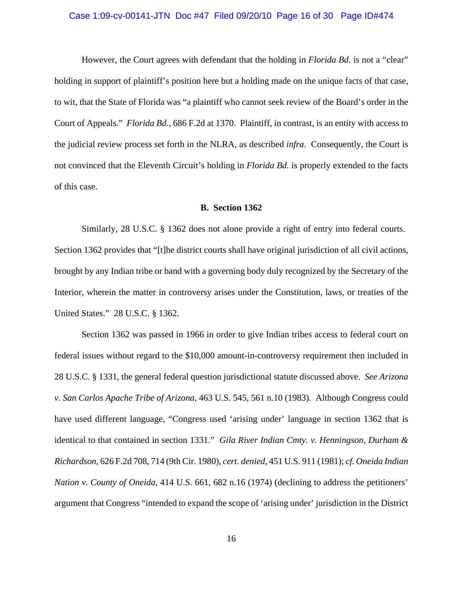# Case 1:09-cv-00141-JTN Doc #47 Filed 09/20/10 Page 16 of 30 Page ID#474

However, the Court agrees with defendant that the holding in *Florida Bd.* is not a "clear" holding in support of plaintiff's position here but a holding made on the unique facts of that case, to wit, that the State of Florida was "a plaintiff who cannot seek review of the Board's order in the Court of Appeals." *Florida Bd.*, 686 F.2d at 1370. Plaintiff, in contrast, is an entity with access to the judicial review process set forth in the NLRA, as described *infra.* Consequently, the Court is not convinced that the Eleventh Circuit's holding in *Florida Bd.* is properly extended to the facts of this case.

# **B. Section 1362**

Similarly, 28 U.S.C. § 1362 does not alone provide a right of entry into federal courts. Section 1362 provides that "[t]he district courts shall have original jurisdiction of all civil actions, brought by any Indian tribe or band with a governing body duly recognized by the Secretary of the Interior, wherein the matter in controversy arises under the Constitution, laws, or treaties of the United States." 28 U.S.C. § 1362.

Section 1362 was passed in 1966 in order to give Indian tribes access to federal court on federal issues without regard to the \$10,000 amount-in-controversy requirement then included in 28 U.S.C. § 1331, the general federal question jurisdictional statute discussed above. *See Arizona v. San Carlos Apache Tribe of Arizona*, 463 U.S. 545, 561 n.10 (1983). Although Congress could have used different language, "Congress used 'arising under' language in section 1362 that is identical to that contained in section 1331." *Gila River Indian Cmty. v. Henningson, Durham & Richardson*, 626 F.2d 708, 714 (9th Cir. 1980), *cert. denied*, 451 U.S. 911 (1981); *cf. Oneida Indian Nation v. County of Oneida*, 414 U.S. 661, 682 n.16 (1974) (declining to address the petitioners' argument that Congress "intended to expand the scope of 'arising under' jurisdiction in the District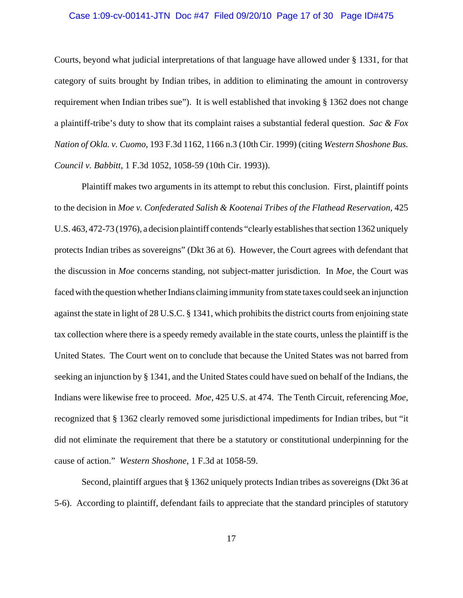# Case 1:09-cv-00141-JTN Doc #47 Filed 09/20/10 Page 17 of 30 Page ID#475

Courts, beyond what judicial interpretations of that language have allowed under § 1331, for that category of suits brought by Indian tribes, in addition to eliminating the amount in controversy requirement when Indian tribes sue"). It is well established that invoking § 1362 does not change a plaintiff-tribe's duty to show that its complaint raises a substantial federal question. *Sac & Fox Nation of Okla. v. Cuomo*, 193 F.3d 1162, 1166 n.3 (10th Cir. 1999) (citing *Western Shoshone Bus. Council v. Babbitt*, 1 F.3d 1052, 1058-59 (10th Cir. 1993)).

Plaintiff makes two arguments in its attempt to rebut this conclusion. First, plaintiff points to the decision in *Moe v. Confederated Salish & Kootenai Tribes of the Flathead Reservation*, 425 U.S. 463, 472-73 (1976), a decision plaintiff contends "clearly establishes that section 1362 uniquely protects Indian tribes as sovereigns" (Dkt 36 at 6). However, the Court agrees with defendant that the discussion in *Moe* concerns standing, not subject-matter jurisdiction. In *Moe*, the Court was faced with the question whether Indians claiming immunity from state taxes could seek an injunction against the state in light of 28 U.S.C. § 1341, which prohibits the district courts from enjoining state tax collection where there is a speedy remedy available in the state courts, unless the plaintiff is the United States. The Court went on to conclude that because the United States was not barred from seeking an injunction by § 1341, and the United States could have sued on behalf of the Indians, the Indians were likewise free to proceed. *Moe*, 425 U.S. at 474. The Tenth Circuit, referencing *Moe*, recognized that § 1362 clearly removed some jurisdictional impediments for Indian tribes, but "it did not eliminate the requirement that there be a statutory or constitutional underpinning for the cause of action." *Western Shoshone*, 1 F.3d at 1058-59.

Second, plaintiff argues that § 1362 uniquely protects Indian tribes as sovereigns (Dkt 36 at 5-6). According to plaintiff, defendant fails to appreciate that the standard principles of statutory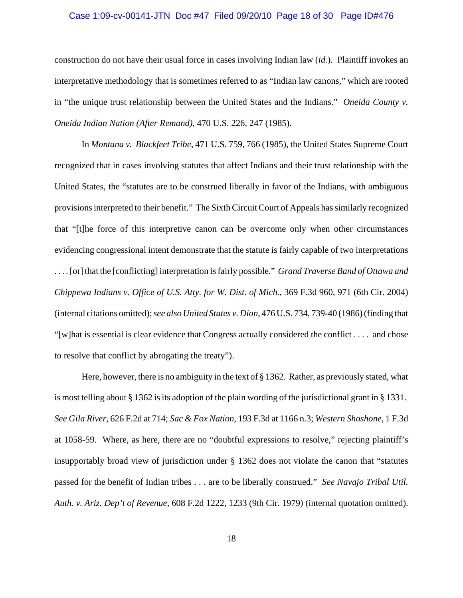# Case 1:09-cv-00141-JTN Doc #47 Filed 09/20/10 Page 18 of 30 Page ID#476

construction do not have their usual force in cases involving Indian law (*id.*). Plaintiff invokes an interpretative methodology that is sometimes referred to as "Indian law canons," which are rooted in "the unique trust relationship between the United States and the Indians." *Oneida County v. Oneida Indian Nation (After Remand)*, 470 U.S. 226, 247 (1985).

In *Montana v. Blackfeet Tribe*, 471 U.S. 759, 766 (1985), the United States Supreme Court recognized that in cases involving statutes that affect Indians and their trust relationship with the United States, the "statutes are to be construed liberally in favor of the Indians, with ambiguous provisions interpreted to their benefit." The Sixth Circuit Court of Appeals has similarly recognized that "[t]he force of this interpretive canon can be overcome only when other circumstances evidencing congressional intent demonstrate that the statute is fairly capable of two interpretations . . . . [or] that the [conflicting] interpretation is fairly possible." *Grand Traverse Band of Ottawa and Chippewa Indians v. Office of U.S. Atty. for W. Dist. of Mich.*, 369 F.3d 960, 971 (6th Cir. 2004) (internal citations omitted); *see also United States v. Dion*, 476 U.S. 734, 739-40 (1986) (finding that "[w]hat is essential is clear evidence that Congress actually considered the conflict . . . . and chose to resolve that conflict by abrogating the treaty").

Here, however, there is no ambiguity in the text of § 1362. Rather, as previously stated, what is most telling about § 1362 is its adoption of the plain wording of the jurisdictional grant in § 1331. *See Gila River*, 626 F.2d at 714; *Sac & Fox Nation*, 193 F.3d at 1166 n.3; *Western Shoshone*, 1 F.3d at 1058-59*.* Where, as here, there are no "doubtful expressions to resolve," rejecting plaintiff's insupportably broad view of jurisdiction under § 1362 does not violate the canon that "statutes passed for the benefit of Indian tribes . . . are to be liberally construed." *See Navajo Tribal Util. Auth. v. Ariz. Dep't of Revenue*, 608 F.2d 1222, 1233 (9th Cir. 1979) (internal quotation omitted).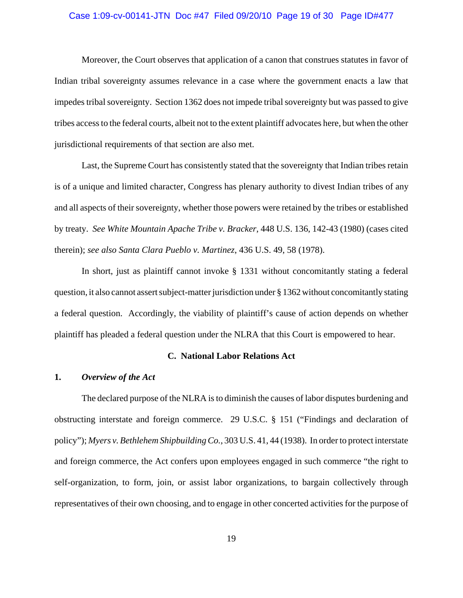## Case 1:09-cv-00141-JTN Doc #47 Filed 09/20/10 Page 19 of 30 Page ID#477

Moreover, the Court observes that application of a canon that construes statutes in favor of Indian tribal sovereignty assumes relevance in a case where the government enacts a law that impedes tribal sovereignty. Section 1362 does not impede tribal sovereignty but was passed to give tribes access to the federal courts, albeit not to the extent plaintiff advocates here, but when the other jurisdictional requirements of that section are also met.

Last, the Supreme Court has consistently stated that the sovereignty that Indian tribes retain is of a unique and limited character, Congress has plenary authority to divest Indian tribes of any and all aspects of their sovereignty, whether those powers were retained by the tribes or established by treaty. *See White Mountain Apache Tribe v. Bracker*, 448 U.S. 136, 142-43 (1980) (cases cited therein); *see also Santa Clara Pueblo v. Martinez*, 436 U.S. 49, 58 (1978).

In short, just as plaintiff cannot invoke § 1331 without concomitantly stating a federal question, it also cannot assert subject-matter jurisdiction under § 1362 without concomitantly stating a federal question.Accordingly, the viability of plaintiff's cause of action depends on whether plaintiff has pleaded a federal question under the NLRA that this Court is empowered to hear.

## **C. National Labor Relations Act**

# **1.** *Overview of the Act*

The declared purpose of the NLRA is to diminish the causes of labor disputes burdening and obstructing interstate and foreign commerce. 29 U.S.C. § 151 ("Findings and declaration of policy"); *Myers v. Bethlehem Shipbuilding Co.*, 303 U.S. 41, 44 (1938). In order to protect interstate and foreign commerce, the Act confers upon employees engaged in such commerce "the right to self-organization, to form, join, or assist labor organizations, to bargain collectively through representatives of their own choosing, and to engage in other concerted activities for the purpose of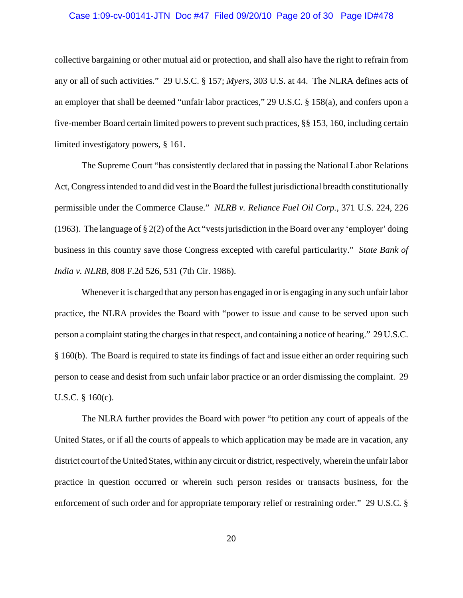### Case 1:09-cv-00141-JTN Doc #47 Filed 09/20/10 Page 20 of 30 Page ID#478

collective bargaining or other mutual aid or protection, and shall also have the right to refrain from any or all of such activities." 29 U.S.C. § 157; *Myers*, 303 U.S. at 44. The NLRA defines acts of an employer that shall be deemed "unfair labor practices," 29 U.S.C. § 158(a), and confers upon a five-member Board certain limited powers to prevent such practices, §§ 153, 160, including certain limited investigatory powers, § 161.

The Supreme Court "has consistently declared that in passing the National Labor Relations Act, Congress intended to and did vest in the Board the fullest jurisdictional breadth constitutionally permissible under the Commerce Clause." *NLRB v. Reliance Fuel Oil Corp.*, 371 U.S. 224, 226 (1963). The language of § 2(2) of the Act "vests jurisdiction in the Board over any 'employer' doing business in this country save those Congress excepted with careful particularity." *State Bank of India v. NLRB*, 808 F.2d 526, 531 (7th Cir. 1986).

Whenever it is charged that any person has engaged in or is engaging in any such unfair labor practice, the NLRA provides the Board with "power to issue and cause to be served upon such person a complaint stating the charges in that respect, and containing a notice of hearing." 29 U.S.C. § 160(b). The Board is required to state its findings of fact and issue either an order requiring such person to cease and desist from such unfair labor practice or an order dismissing the complaint. 29 U.S.C. § 160(c).

The NLRA further provides the Board with power "to petition any court of appeals of the United States, or if all the courts of appeals to which application may be made are in vacation, any district court of the United States, within any circuit or district, respectively, wherein the unfair labor practice in question occurred or wherein such person resides or transacts business, for the enforcement of such order and for appropriate temporary relief or restraining order." 29 U.S.C. §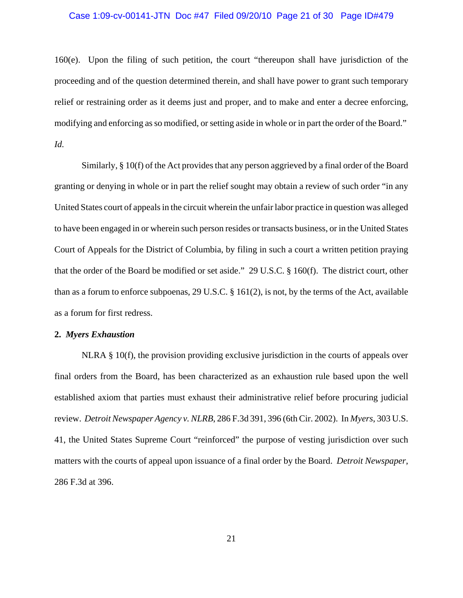## Case 1:09-cv-00141-JTN Doc #47 Filed 09/20/10 Page 21 of 30 Page ID#479

160(e). Upon the filing of such petition, the court "thereupon shall have jurisdiction of the proceeding and of the question determined therein, and shall have power to grant such temporary relief or restraining order as it deems just and proper, and to make and enter a decree enforcing, modifying and enforcing as so modified, or setting aside in whole or in part the order of the Board." *Id.*

Similarly, § 10(f) of the Act provides that any person aggrieved by a final order of the Board granting or denying in whole or in part the relief sought may obtain a review of such order "in any United States court of appeals in the circuit wherein the unfair labor practice in question was alleged to have been engaged in or wherein such person resides or transacts business, or in the United States Court of Appeals for the District of Columbia, by filing in such a court a written petition praying that the order of the Board be modified or set aside." 29 U.S.C. § 160(f). The district court, other than as a forum to enforce subpoenas, 29 U.S.C. § 161(2), is not, by the terms of the Act, available as a forum for first redress.

# **2.** *Myers Exhaustion*

NLRA § 10(f), the provision providing exclusive jurisdiction in the courts of appeals over final orders from the Board, has been characterized as an exhaustion rule based upon the well established axiom that parties must exhaust their administrative relief before procuring judicial review. *Detroit Newspaper Agency v. NLRB*, 286 F.3d 391, 396 (6th Cir. 2002). In *Myers*, 303 U.S. 41, the United States Supreme Court "reinforced" the purpose of vesting jurisdiction over such matters with the courts of appeal upon issuance of a final order by the Board. *Detroit Newspaper*, 286 F.3d at 396.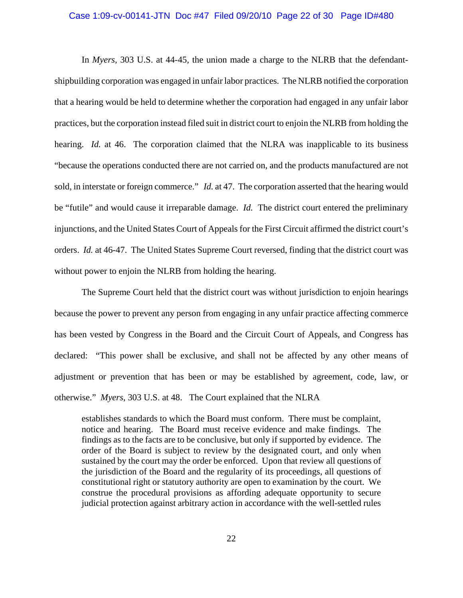#### Case 1:09-cv-00141-JTN Doc #47 Filed 09/20/10 Page 22 of 30 Page ID#480

In *Myers,* 303 U.S. at 44-45, the union made a charge to the NLRB that the defendantshipbuilding corporation was engaged in unfair labor practices. The NLRB notified the corporation that a hearing would be held to determine whether the corporation had engaged in any unfair labor practices, but the corporation instead filed suit in district court to enjoin the NLRB from holding the hearing. *Id.* at 46. The corporation claimed that the NLRA was inapplicable to its business "because the operations conducted there are not carried on, and the products manufactured are not sold, in interstate or foreign commerce." *Id.* at 47. The corporation asserted that the hearing would be "futile" and would cause it irreparable damage. *Id.* The district court entered the preliminary injunctions, and the United States Court of Appeals for the First Circuit affirmed the district court's orders. *Id.* at 46-47. The United States Supreme Court reversed, finding that the district court was without power to enjoin the NLRB from holding the hearing.

The Supreme Court held that the district court was without jurisdiction to enjoin hearings because the power to prevent any person from engaging in any unfair practice affecting commerce has been vested by Congress in the Board and the Circuit Court of Appeals, and Congress has declared: "This power shall be exclusive, and shall not be affected by any other means of adjustment or prevention that has been or may be established by agreement, code, law, or otherwise." *Myers*, 303 U.S. at 48. The Court explained that the NLRA

establishes standards to which the Board must conform. There must be complaint, notice and hearing. The Board must receive evidence and make findings. The findings as to the facts are to be conclusive, but only if supported by evidence. The order of the Board is subject to review by the designated court, and only when sustained by the court may the order be enforced. Upon that review all questions of the jurisdiction of the Board and the regularity of its proceedings, all questions of constitutional right or statutory authority are open to examination by the court. We construe the procedural provisions as affording adequate opportunity to secure judicial protection against arbitrary action in accordance with the well-settled rules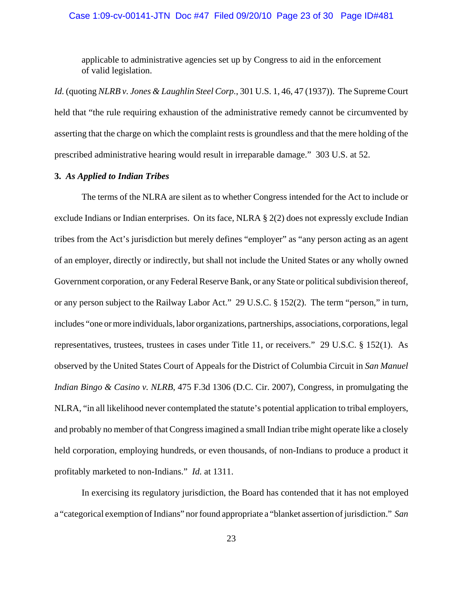#### Case 1:09-cv-00141-JTN Doc #47 Filed 09/20/10 Page 23 of 30 Page ID#481

applicable to administrative agencies set up by Congress to aid in the enforcement of valid legislation.

*Id.* (quoting *NLRB v. Jones & Laughlin Steel Corp.*, 301 U.S. 1, 46, 47 (1937)). The Supreme Court held that "the rule requiring exhaustion of the administrative remedy cannot be circumvented by asserting that the charge on which the complaint rests is groundless and that the mere holding of the prescribed administrative hearing would result in irreparable damage." 303 U.S. at 52.

# **3.** *As Applied to Indian Tribes*

The terms of the NLRA are silent as to whether Congress intended for the Act to include or exclude Indians or Indian enterprises. On its face, NLRA § 2(2) does not expressly exclude Indian tribes from the Act's jurisdiction but merely defines "employer" as "any person acting as an agent of an employer, directly or indirectly, but shall not include the United States or any wholly owned Government corporation, or any Federal Reserve Bank, or any State or political subdivision thereof, or any person subject to the Railway Labor Act." 29 U.S.C. § 152(2). The term "person," in turn, includes "one or more individuals, labor organizations, partnerships, associations, corporations, legal representatives, trustees, trustees in cases under Title 11, or receivers." 29 U.S.C. § 152(1). As observed by the United States Court of Appeals for the District of Columbia Circuit in *San Manuel Indian Bingo & Casino v. NLRB*, 475 F.3d 1306 (D.C. Cir. 2007), Congress, in promulgating the NLRA, "in all likelihood never contemplated the statute's potential application to tribal employers, and probably no member of that Congress imagined a small Indian tribe might operate like a closely held corporation, employing hundreds, or even thousands, of non-Indians to produce a product it profitably marketed to non-Indians." *Id.* at 1311.

In exercising its regulatory jurisdiction, the Board has contended that it has not employed a "categorical exemption of Indians" nor found appropriate a "blanket assertion of jurisdiction." *San*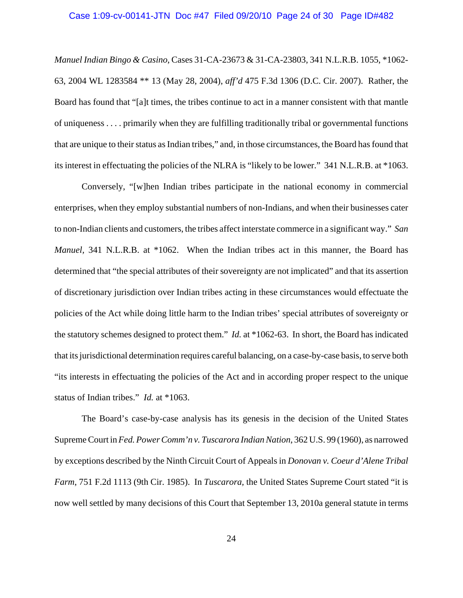# Case 1:09-cv-00141-JTN Doc #47 Filed 09/20/10 Page 24 of 30 Page ID#482

*Manuel Indian Bingo & Casino*, Cases 31-CA-23673 & 31-CA-23803, 341 N.L.R.B. 1055, \*1062- 63, 2004 WL 1283584 \*\* 13 (May 28, 2004), *aff'd* 475 F.3d 1306 (D.C. Cir. 2007). Rather, the Board has found that "[a]t times, the tribes continue to act in a manner consistent with that mantle of uniqueness . . . . primarily when they are fulfilling traditionally tribal or governmental functions that are unique to their status as Indian tribes," and, in those circumstances, the Board has found that its interest in effectuating the policies of the NLRA is "likely to be lower." 341 N.L.R.B. at \*1063.

Conversely, "[w]hen Indian tribes participate in the national economy in commercial enterprises, when they employ substantial numbers of non-Indians, and when their businesses cater to non-Indian clients and customers, the tribes affect interstate commerce in a significant way." *San Manuel*, 341 N.L.R.B. at \*1062. When the Indian tribes act in this manner, the Board has determined that "the special attributes of their sovereignty are not implicated" and that its assertion of discretionary jurisdiction over Indian tribes acting in these circumstances would effectuate the policies of the Act while doing little harm to the Indian tribes' special attributes of sovereignty or the statutory schemes designed to protect them." *Id.* at \*1062-63. In short, the Board has indicated that its jurisdictional determination requires careful balancing, on a case-by-case basis, to serve both "its interests in effectuating the policies of the Act and in according proper respect to the unique status of Indian tribes." *Id.* at \*1063.

The Board's case-by-case analysis has its genesis in the decision of the United States Supreme Court in *Fed. Power Comm'n v. Tuscarora Indian Nation*, 362 U.S. 99 (1960), as narrowed by exceptions described by the Ninth Circuit Court of Appeals in *Donovan v. Coeur d'Alene Tribal Farm*, 751 F.2d 1113 (9th Cir. 1985). In *Tuscarora,* the United States Supreme Court stated "it is now well settled by many decisions of this Court that September 13, 2010a general statute in terms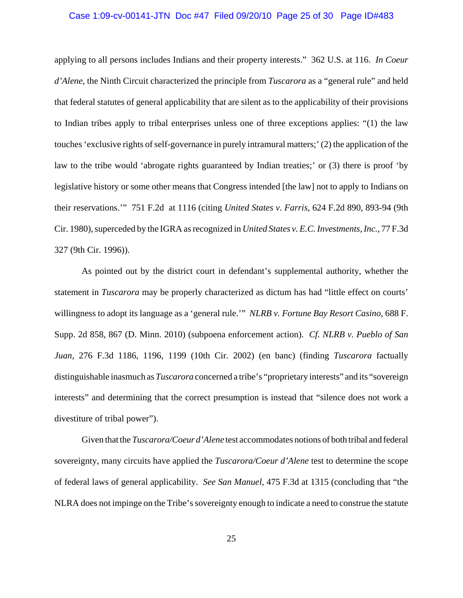## Case 1:09-cv-00141-JTN Doc #47 Filed 09/20/10 Page 25 of 30 Page ID#483

applying to all persons includes Indians and their property interests." 362 U.S. at 116. *In Coeur d'Alene*, the Ninth Circuit characterized the principle from *Tuscarora* as a "general rule" and held that federal statutes of general applicability that are silent as to the applicability of their provisions to Indian tribes apply to tribal enterprises unless one of three exceptions applies: "(1) the law touches 'exclusive rights of self-governance in purely intramural matters;' (2) the application of the law to the tribe would 'abrogate rights guaranteed by Indian treaties;' or (3) there is proof 'by legislative history or some other means that Congress intended [the law] not to apply to Indians on their reservations.'" 751 F.2d at 1116 (citing *United States v. Farris*, 624 F.2d 890, 893-94 (9th Cir. 1980), superceded by the IGRA as recognized in *United States v. E.C. Investments, Inc.*, 77 F.3d 327 (9th Cir. 1996)).

As pointed out by the district court in defendant's supplemental authority, whether the statement in *Tuscarora* may be properly characterized as dictum has had "little effect on courts' willingness to adopt its language as a 'general rule.'" *NLRB v. Fortune Bay Resort Casino*, 688 F. Supp. 2d 858, 867 (D. Minn. 2010) (subpoena enforcement action). *Cf. NLRB v. Pueblo of San Juan*, 276 F.3d 1186, 1196, 1199 (10th Cir. 2002) (en banc) (finding *Tuscarora* factually distinguishable inasmuch as *Tuscarora* concerned a tribe's "proprietary interests" and its "sovereign interests" and determining that the correct presumption is instead that "silence does not work a divestiture of tribal power").

Given that the *Tuscarora/Coeur d'Alene* test accommodates notions of both tribal and federal sovereignty, many circuits have applied the *Tuscarora/Coeur d'Alene* test to determine the scope of federal laws of general applicability. *See San Manuel*, 475 F.3d at 1315 (concluding that "the NLRA does not impinge on the Tribe's sovereignty enough to indicate a need to construe the statute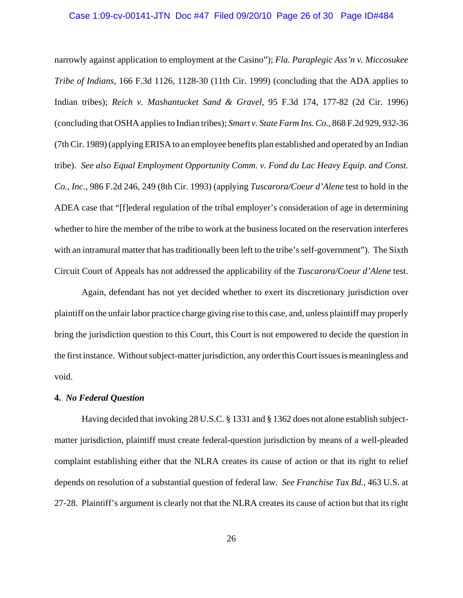# Case 1:09-cv-00141-JTN Doc #47 Filed 09/20/10 Page 26 of 30 Page ID#484

narrowly against application to employment at the Casino"); *Fla. Paraplegic Ass'n v. Miccosukee Tribe of Indians*, 166 F.3d 1126, 1128-30 (11th Cir. 1999) (concluding that the ADA applies to Indian tribes); *Reich v. Mashantucket Sand & Gravel*, 95 F.3d 174, 177-82 (2d Cir. 1996) (concluding that OSHA applies to Indian tribes); *Smart v. State Farm Ins. Co.*, 868 F.2d 929, 932-36 (7th Cir. 1989) (applying ERISA to an employee benefits plan established and operated by an Indian tribe). *See also Equal Employment Opportunity Comm. v. Fond du Lac Heavy Equip. and Const. Co., Inc.*, 986 F.2d 246, 249 (8th Cir. 1993) (applying *Tuscarora/Coeur d'Alene* test to hold in the ADEA case that "[f]ederal regulation of the tribal employer's consideration of age in determining whether to hire the member of the tribe to work at the business located on the reservation interferes with an intramural matter that has traditionally been left to the tribe's self-government"). The Sixth Circuit Court of Appeals has not addressed the applicability of the *Tuscarora/Coeur d'Alene* test.

Again, defendant has not yet decided whether to exert its discretionary jurisdiction over plaintiff on the unfair labor practice charge giving rise to this case, and, unless plaintiff may properly bring the jurisdiction question to this Court, this Court is not empowered to decide the question in the first instance. Without subject-matter jurisdiction, any order this Court issues is meaningless and void.

#### **4.** *No Federal Question*

Having decided that invoking 28 U.S.C. § 1331 and § 1362 does not alone establish subjectmatter jurisdiction, plaintiff must create federal-question jurisdiction by means of a well-pleaded complaint establishing either that the NLRA creates its cause of action or that its right to relief depends on resolution of a substantial question of federal law. *See Franchise Tax Bd.*, 463 U.S. at 27-28. Plaintiff's argument is clearly not that the NLRA creates its cause of action but that its right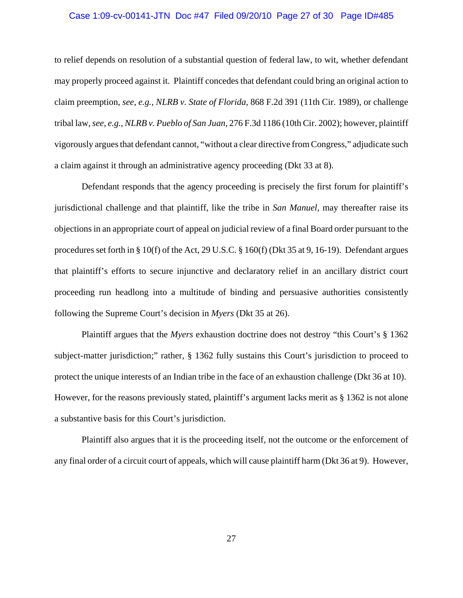## Case 1:09-cv-00141-JTN Doc #47 Filed 09/20/10 Page 27 of 30 Page ID#485

to relief depends on resolution of a substantial question of federal law, to wit, whether defendant may properly proceed against it. Plaintiff concedes that defendant could bring an original action to claim preemption, *see, e.g.*, *NLRB v. State of Florida*, 868 F.2d 391 (11th Cir. 1989), or challenge tribal law, *see, e.g.*, *NLRB v. Pueblo of San Juan*, 276 F.3d 1186 (10th Cir. 2002); however, plaintiff vigorously argues that defendant cannot, "without a clear directive from Congress," adjudicate such a claim against it through an administrative agency proceeding (Dkt 33 at 8).

Defendant responds that the agency proceeding is precisely the first forum for plaintiff's jurisdictional challenge and that plaintiff, like the tribe in *San Manuel*, may thereafter raise its objections in an appropriate court of appeal on judicial review of a final Board order pursuant to the procedures set forth in § 10(f) of the Act, 29 U.S.C. § 160(f) (Dkt 35 at 9, 16-19). Defendant argues that plaintiff's efforts to secure injunctive and declaratory relief in an ancillary district court proceeding run headlong into a multitude of binding and persuasive authorities consistently following the Supreme Court's decision in *Myers* (Dkt 35 at 26).

Plaintiff argues that the *Myers* exhaustion doctrine does not destroy "this Court's § 1362 subject-matter jurisdiction;" rather, § 1362 fully sustains this Court's jurisdiction to proceed to protect the unique interests of an Indian tribe in the face of an exhaustion challenge (Dkt 36 at 10). However, for the reasons previously stated, plaintiff's argument lacks merit as § 1362 is not alone a substantive basis for this Court's jurisdiction.

Plaintiff also argues that it is the proceeding itself, not the outcome or the enforcement of any final order of a circuit court of appeals, which will cause plaintiff harm (Dkt 36 at 9). However,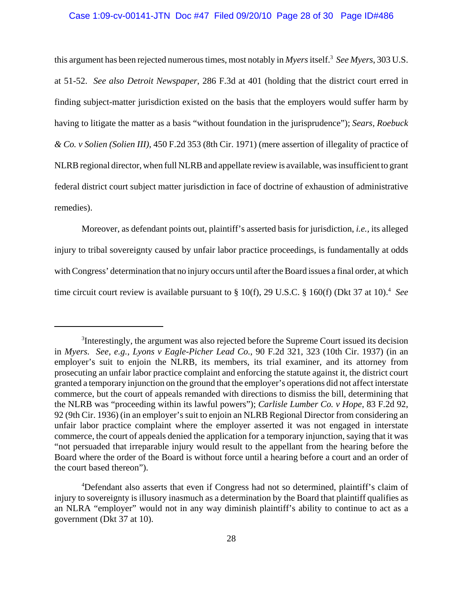## Case 1:09-cv-00141-JTN Doc #47 Filed 09/20/10 Page 28 of 30 Page ID#486

this argument has been rejected numerous times, most notably in *Myers* itself.<sup>3</sup> See Myers, 303 U.S. at 51-52. *See also Detroit Newspaper*, 286 F.3d at 401 (holding that the district court erred in finding subject-matter jurisdiction existed on the basis that the employers would suffer harm by having to litigate the matter as a basis "without foundation in the jurisprudence"); *Sears, Roebuck & Co. v Solien (Solien III)*, 450 F.2d 353 (8th Cir. 1971) (mere assertion of illegality of practice of NLRB regional director, when full NLRB and appellate review is available, was insufficient to grant federal district court subject matter jurisdiction in face of doctrine of exhaustion of administrative remedies).

Moreover, as defendant points out, plaintiff's asserted basis for jurisdiction, *i.e.,* its alleged injury to tribal sovereignty caused by unfair labor practice proceedings, is fundamentally at odds with Congress' determination that no injury occurs until after the Board issues a final order, at which time circuit court review is available pursuant to § 10(f), 29 U.S.C. § 160(f) (Dkt 37 at 10).<sup>4</sup> See

<sup>&</sup>lt;sup>3</sup>Interestingly, the argument was also rejected before the Supreme Court issued its decision in *Myers. See, e.g., Lyons v Eagle-Picher Lead Co.*, 90 F.2d 321, 323 (10th Cir. 1937) (in an employer's suit to enjoin the NLRB, its members, its trial examiner, and its attorney from prosecuting an unfair labor practice complaint and enforcing the statute against it, the district court granted a temporary injunction on the ground that the employer's operations did not affect interstate commerce, but the court of appeals remanded with directions to dismiss the bill, determining that the NLRB was "proceeding within its lawful powers"); *Carlisle Lumber Co. v Hope*, 83 F.2d 92, 92 (9th Cir. 1936) (in an employer's suit to enjoin an NLRB Regional Director from considering an unfair labor practice complaint where the employer asserted it was not engaged in interstate commerce, the court of appeals denied the application for a temporary injunction, saying that it was "not persuaded that irreparable injury would result to the appellant from the hearing before the Board where the order of the Board is without force until a hearing before a court and an order of the court based thereon").

<sup>&</sup>lt;sup>4</sup>Defendant also asserts that even if Congress had not so determined, plaintiff's claim of injury to sovereignty is illusory inasmuch as a determination by the Board that plaintiff qualifies as an NLRA "employer" would not in any way diminish plaintiff's ability to continue to act as a government (Dkt 37 at 10).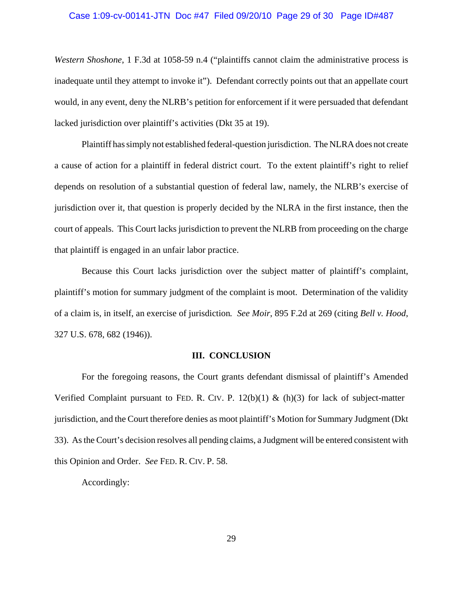# Case 1:09-cv-00141-JTN Doc #47 Filed 09/20/10 Page 29 of 30 Page ID#487

*Western Shoshone*, 1 F.3d at 1058-59 n.4 ("plaintiffs cannot claim the administrative process is inadequate until they attempt to invoke it"). Defendant correctly points out that an appellate court would, in any event, deny the NLRB's petition for enforcement if it were persuaded that defendant lacked jurisdiction over plaintiff's activities (Dkt 35 at 19).

Plaintiff has simply not established federal-question jurisdiction. The NLRA does not create a cause of action for a plaintiff in federal district court. To the extent plaintiff's right to relief depends on resolution of a substantial question of federal law, namely, the NLRB's exercise of jurisdiction over it, that question is properly decided by the NLRA in the first instance, then the court of appeals. This Court lacks jurisdiction to prevent the NLRB from proceeding on the charge that plaintiff is engaged in an unfair labor practice.

Because this Court lacks jurisdiction over the subject matter of plaintiff's complaint, plaintiff's motion for summary judgment of the complaint is moot. Determination of the validity of a claim is, in itself, an exercise of jurisdiction*. See Moir*, 895 F.2d at 269 (citing *Bell v. Hood*, 327 U.S. 678, 682 (1946)).

## **III. CONCLUSION**

For the foregoing reasons, the Court grants defendant dismissal of plaintiff's Amended Verified Complaint pursuant to FED. R. CIV. P.  $12(b)(1) \& (h)(3)$  for lack of subject-matter jurisdiction, and the Court therefore denies as moot plaintiff's Motion for Summary Judgment (Dkt 33). As the Court's decision resolves all pending claims, a Judgment will be entered consistent with this Opinion and Order. *See* FED. R. CIV. P. 58.

Accordingly: